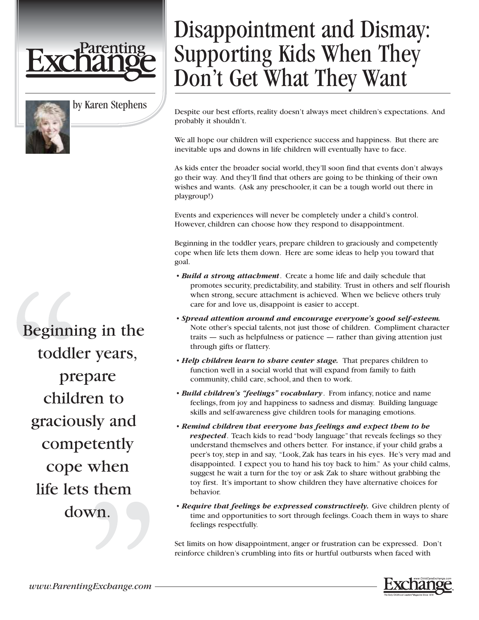



by Karen Stephens

Beginning in the toddler years, prepare children to graciously and competently cope when life lets them down.

## Disappointment and Dismay: Supporting Kids When They Don't Get What They Want

Despite our best efforts, reality doesn't always meet children's expectations. And probably it shouldn't.

We all hope our children will experience success and happiness. But there are inevitable ups and downs in life children will eventually have to face.

As kids enter the broader social world, they'll soon find that events don't always go their way. And they'll find that others are going to be thinking of their own wishes and wants. (Ask any preschooler, it can be a tough world out there in playgroup!)

Events and experiences will never be completely under a child's control. However, children can choose how they respond to disappointment.

Beginning in the toddler years, prepare children to graciously and competently cope when life lets them down. Here are some ideas to help you toward that goal.

- *Build a strong attachment*. Create a home life and daily schedule that promotes security, predictability, and stability. Trust in others and self flourish when strong, secure attachment is achieved. When we believe others truly care for and love us, disappoint is easier to accept.
- *Spread attention around and encourage everyone's good self-esteem.* Note other's special talents, not just those of children. Compliment character traits — such as helpfulness or patience — rather than giving attention just through gifts or flattery.
- *Help children learn to share center stage*. That prepares children to function well in a social world that will expand from family to faith community, child care, school, and then to work.
- *Build children's "feelings" vocabulary*. From infancy, notice and name feelings, from joy and happiness to sadness and dismay. Building language skills and self-awareness give children tools for managing emotions.
- *Remind children that everyone has feelings and expect them to be respected*. Teach kids to read "body language" that reveals feelings so they understand themselves and others better. For instance, if your child grabs a peer's toy, step in and say, "Look, Zak has tears in his eyes. He's very mad and disappointed. I expect you to hand his toy back to him." As your child calms, suggest he wait a turn for the toy or ask Zak to share without grabbing the toy first. It's important to show children they have alternative choices for behavior.
- *Require that feelings be expressed constructively.* Give children plenty of time and opportunities to sort through feelings. Coach them in ways to share feelings respectfully.

Set limits on how disappointment, anger or frustration can be expressed. Don't reinforce children's crumbling into fits or hurtful outbursts when faced with

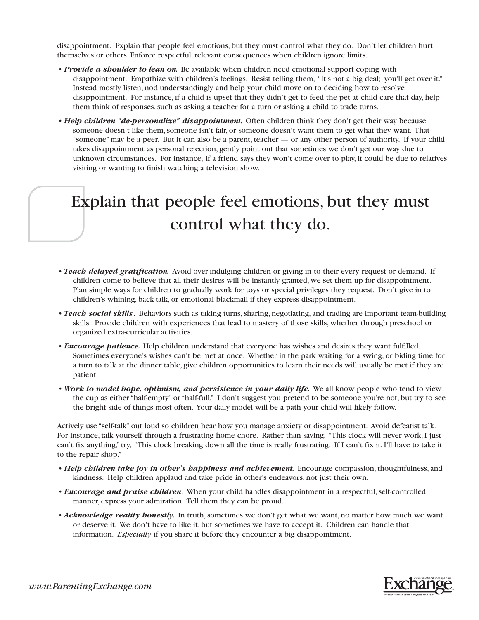disappointment. Explain that people feel emotions, but they must control what they do. Don't let children hurt themselves or others. Enforce respectful, relevant consequences when children ignore limits.

- *Provide a shoulder to lean on*. Be available when children need emotional support coping with disappointment. Empathize with children's feelings. Resist telling them, "It's not a big deal; you'll get over it." Instead mostly listen, nod understandingly and help your child move on to deciding how to resolve disappointment. For instance, if a child is upset that they didn't get to feed the pet at child care that day, help them think of responses, such as asking a teacher for a turn or asking a child to trade turns.
- *Help children "de-personalize" disappointment*. Often children think they don't get their way because someone doesn't like them, someone isn't fair, or someone doesn't want them to get what they want. That "someone" may be a peer. But it can also be a parent, teacher — or any other person of authority. If your child takes disappointment as personal rejection, gently point out that sometimes we don't get our way due to unknown circumstances. For instance, if a friend says they won't come over to play, it could be due to relatives visiting or wanting to finish watching a television show.

## Explain that people feel emotions, but they must control what they do.

- *Teach delayed gratification.* Avoid over-indulging children or giving in to their every request or demand. If children come to believe that all their desires will be instantly granted, we set them up for disappointment. Plan simple ways for children to gradually work for toys or special privileges they request. Don't give in to children's whining, back-talk, or emotional blackmail if they express disappointment.
- *Teach social skills*. Behaviors such as taking turns, sharing, negotiating, and trading are important team-building skills. Provide children with experiences that lead to mastery of those skills, whether through preschool or organized extra-curricular activities.
- *Encourage patience.* Help children understand that everyone has wishes and desires they want fulfilled. Sometimes everyone's wishes can't be met at once. Whether in the park waiting for a swing, or biding time for a turn to talk at the dinner table, give children opportunities to learn their needs will usually be met if they are patient.
- *Work to model bope, optimism, and persistence in your daily life.* We all know people who tend to view the cup as either "half-empty" or "half-full." I don't suggest you pretend to be someone you're not, but try to see the bright side of things most often. Your daily model will be a path your child will likely follow.

Actively use "self-talk" out loud so children hear how you manage anxiety or disappointment. Avoid defeatist talk. For instance, talk yourself through a frustrating home chore. Rather than saying, "This clock will never work, I just can't fix anything," try, "This clock breaking down all the time is really frustrating. If I can't fix it, I'll have to take it to the repair shop."

- *Help children take joy in other's happiness and achievement*. Encourage compassion, thoughtfulness, and kindness. Help children applaud and take pride in other's endeavors, not just their own.
- *Encourage and praise children*. When your child handles disappointment in a respectful, self-controlled manner, express your admiration. Tell them they can be proud.
- *Acknowledge reality honestly.* In truth, sometimes we don't get what we want, no matter how much we want or deserve it. We don't have to like it, but sometimes we have to accept it. Children can handle that information. *Especially* if you share it before they encounter a big disappointment.